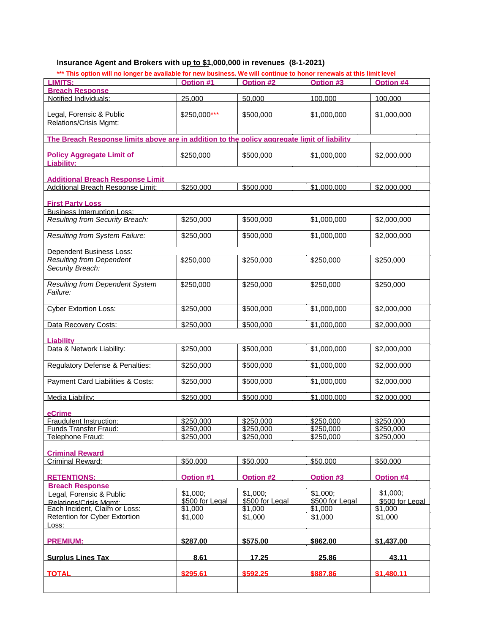# **Insurance Agent and Brokers with up to \$1,000,000 in revenues (8-1-2021)**

| *** This option will no longer be available for new business. We will continue to honor renewals at this limit level |                 |                 |                 |                         |
|----------------------------------------------------------------------------------------------------------------------|-----------------|-----------------|-----------------|-------------------------|
| <b>LIMITS:</b>                                                                                                       | Option #1       | Option #2       | Option #3       | Option #4               |
| <b>Breach Response</b>                                                                                               |                 |                 |                 |                         |
| Notified Individuals:                                                                                                | 25.000          | 50.000          | 100.000         | 100.000                 |
| Legal, Forensic & Public<br>Relations/Crisis Mgmt:                                                                   | \$250,000***    | \$500,000       | \$1,000,000     | \$1,000,000             |
| The Breach Response limits above are in addition to the policy aggregate limit of liability                          |                 |                 |                 |                         |
| <b>Policy Aggregate Limit of</b><br><b>Liability:</b>                                                                | \$250,000       | \$500,000       | \$1,000,000     | \$2,000,000             |
| <b>Additional Breach Response Limit</b>                                                                              |                 |                 |                 |                         |
| Additional Breach Response Limit:                                                                                    | \$250,000       | \$500,000       | \$1,000,000     | \$2,000,000             |
|                                                                                                                      |                 |                 |                 |                         |
| <b>First Party Loss</b>                                                                                              |                 |                 |                 |                         |
| <b>Business Interruption Loss:</b>                                                                                   |                 |                 |                 |                         |
| Resulting from Security Breach:                                                                                      | \$250,000       | \$500,000       | \$1,000,000     | \$2,000,000             |
| Resulting from System Failure:                                                                                       | \$250,000       | \$500,000       | \$1,000,000     | \$2,000,000             |
| <b>Dependent Business Loss:</b>                                                                                      |                 |                 |                 |                         |
| <b>Resulting from Dependent</b><br>Security Breach:                                                                  | \$250,000       | \$250,000       | \$250,000       | \$250,000               |
| Resulting from Dependent System<br>Failure:                                                                          | \$250,000       | \$250,000       | \$250,000       | \$250,000               |
| <b>Cyber Extortion Loss:</b>                                                                                         | \$250,000       | \$500,000       | \$1,000,000     | \$2,000,000             |
| Data Recovery Costs:                                                                                                 | \$250,000       | \$500,000       | \$1,000,000     | $\overline{$2,000,000}$ |
|                                                                                                                      |                 |                 |                 |                         |
| <b>Liability</b>                                                                                                     |                 |                 |                 |                         |
| Data & Network Liability:                                                                                            | \$250,000       | \$500,000       | \$1,000,000     | \$2,000,000             |
| Regulatory Defense & Penalties:                                                                                      | \$250,000       | \$500,000       | \$1,000,000     | \$2,000,000             |
| Payment Card Liabilities & Costs:                                                                                    | \$250,000       | \$500,000       | \$1,000,000     | \$2,000,000             |
| Media Liability:                                                                                                     | \$250,000       | \$500,000       | \$1,000.000     | \$2,000.000             |
| eCrime                                                                                                               |                 |                 |                 |                         |
| Fraudulent Instruction:                                                                                              | \$250,000       | \$250,000       | \$250,000       | \$250,000               |
| Funds Transfer Fraud:                                                                                                | \$250.000       | \$250.000       | \$250,000       | \$250.000               |
| Telephone Fraud:                                                                                                     | \$250,000       | \$250,000       | \$250,000       | \$250,000               |
| <b>Criminal Reward</b>                                                                                               |                 |                 |                 |                         |
| Criminal Reward:                                                                                                     | \$50,000        | \$50,000        | \$50,000        | \$50,000                |
|                                                                                                                      |                 |                 |                 |                         |
| <b>RETENTIONS:</b>                                                                                                   | Option #1       | Option #2       | Option #3       | Option #4               |
| <b>Breach Response</b>                                                                                               |                 |                 |                 |                         |
| Legal, Forensic & Public                                                                                             | \$1,000;        | \$1,000;        | \$1,000;        | \$1,000;                |
| Relations/Crisis Mgmt:                                                                                               | \$500 for Legal | \$500 for Legal | \$500 for Legal | \$500 for Legal         |
| Each Incident, Claim or Loss:                                                                                        | \$1,000         | \$1,000         | \$1,000         | \$1,000                 |
| Retention for Cyber Extortion<br>Loss:                                                                               | \$1,000         | \$1,000         | \$1,000         | \$1,000                 |
|                                                                                                                      |                 |                 |                 |                         |
| <b>PREMIUM:</b>                                                                                                      | \$287.00        | \$575.00        | \$862.00        | \$1.437.00              |
| <b>Surplus Lines Tax</b>                                                                                             | 8.61            | 17.25           | 25.86           | 43.11                   |
| <b>TOTAL</b>                                                                                                         | \$295.61        | \$592.25        | \$887.86        | \$1.480.11              |
|                                                                                                                      |                 |                 |                 |                         |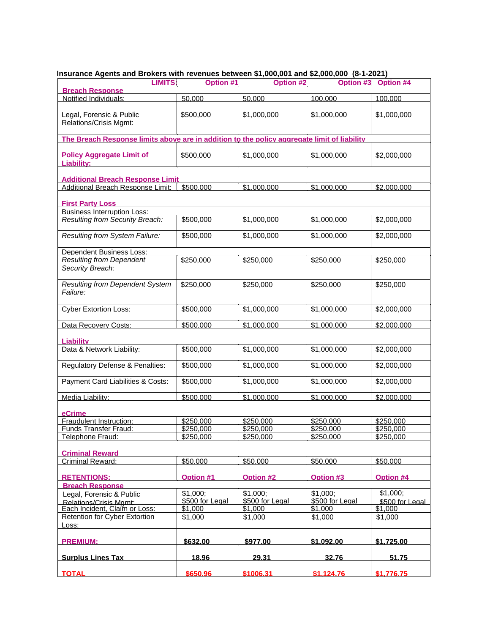| <b>LIMITS:</b>                                                                              | Option #1                  | Option #2                  | $1000$ mini to follow both your privacy of and payably to the space $\mu$<br>Option #3 | Option #4                   |
|---------------------------------------------------------------------------------------------|----------------------------|----------------------------|----------------------------------------------------------------------------------------|-----------------------------|
| <b>Breach Response</b>                                                                      |                            |                            |                                                                                        |                             |
| Notified Individuals:                                                                       | 50.000                     | 50.000                     | 100.000                                                                                | 100.000                     |
| Legal, Forensic & Public<br>Relations/Crisis Mgmt:                                          | \$500,000                  | \$1,000,000                | \$1,000,000                                                                            | \$1,000,000                 |
| The Breach Response limits above are in addition to the policy aggregate limit of liability |                            |                            |                                                                                        |                             |
| <b>Policy Aggregate Limit of</b><br>Liability:                                              | \$500,000                  | \$1,000,000                | \$1,000,000                                                                            | \$2,000,000                 |
| <b>Additional Breach Response Limit</b>                                                     |                            |                            |                                                                                        |                             |
| Additional Breach Response Limit:                                                           | \$500,000                  | \$1,000,000                | \$1,000,000                                                                            | \$2,000.000                 |
| <b>First Party Loss</b>                                                                     |                            |                            |                                                                                        |                             |
| <b>Business Interruption Loss:</b>                                                          |                            |                            |                                                                                        |                             |
| Resulting from Security Breach:                                                             | \$500,000                  | \$1,000,000                | \$1,000,000                                                                            | \$2,000,000                 |
| Resulting from System Failure:                                                              | \$500,000                  | \$1,000,000                | \$1,000,000                                                                            | \$2,000,000                 |
| <b>Dependent Business Loss:</b>                                                             |                            |                            |                                                                                        |                             |
| <b>Resulting from Dependent</b><br>Security Breach:                                         | \$250,000                  | \$250,000                  | \$250,000                                                                              | \$250,000                   |
| <b>Resulting from Dependent System</b><br>Failure:                                          | \$250,000                  | \$250,000                  | \$250,000                                                                              | \$250,000                   |
| <b>Cyber Extortion Loss:</b>                                                                | \$500,000                  | \$1,000,000                | \$1,000,000                                                                            | \$2,000,000                 |
| Data Recovery Costs:                                                                        | \$500,000                  | \$1,000,000                | \$1,000,000                                                                            | \$2,000,000                 |
| <b>Liability</b>                                                                            |                            |                            |                                                                                        |                             |
| Data & Network Liability:                                                                   | \$500,000                  | \$1,000,000                | \$1,000,000                                                                            | \$2,000,000                 |
| Regulatory Defense & Penalties:                                                             | \$500,000                  | \$1,000,000                | \$1,000,000                                                                            | \$2,000,000                 |
| Payment Card Liabilities & Costs:                                                           | \$500,000                  | \$1,000,000                | \$1,000,000                                                                            | \$2,000,000                 |
| Media Liability:                                                                            | \$500,000                  | \$1.000.000                | \$1,000.000                                                                            | \$2,000,000                 |
| eCrime                                                                                      |                            |                            |                                                                                        |                             |
| Fraudulent Instruction:                                                                     | \$250,000                  | \$250,000                  | \$250,000                                                                              | \$250,000                   |
| Funds Transfer Fraud:                                                                       | \$250,000                  | \$250,000                  | \$250,000                                                                              | \$250,000                   |
| Telephone Fraud:                                                                            | \$250.000                  | \$250,000                  | \$250.000                                                                              | \$250,000                   |
|                                                                                             |                            |                            |                                                                                        |                             |
| <b>Criminal Reward</b>                                                                      |                            |                            |                                                                                        |                             |
| Criminal Reward:                                                                            | \$50,000                   | \$50,000                   | \$50,000                                                                               | \$50,000                    |
| <b>RETENTIONS:</b>                                                                          | <b>Option #1</b>           | <b>Option #2</b>           | <b>Option #3</b>                                                                       | <b>Option #4</b>            |
| <b>Breach Response</b>                                                                      |                            |                            |                                                                                        |                             |
| Legal, Forensic & Public                                                                    | \$1,000;                   | \$1,000;                   | \$1,000;                                                                               | \$1,000;<br>\$500 for Legal |
| Relations/Crisis Momt:<br>Each Incident, Claim or Loss:                                     | \$500 for Legal<br>\$1,000 | \$500 for Legal<br>\$1,000 | \$500 for Legal<br>\$1,000                                                             | \$1,000                     |
| <b>Retention for Cyber Extortion</b>                                                        | \$1,000                    | \$1,000                    | \$1,000                                                                                | \$1,000                     |
| Loss:                                                                                       |                            |                            |                                                                                        |                             |
| <b>PREMIUM:</b>                                                                             | \$632.00                   | \$977.00                   | \$1.092.00                                                                             | \$1,725.00                  |
| <b>Surplus Lines Tax</b>                                                                    | 18.96                      | 29.31                      | 32.76                                                                                  | 51.75                       |
| <b>TOTAL</b>                                                                                | \$650.96                   | \$1006.31                  | \$1.124.76                                                                             | \$1,776.75                  |

## **Insurance Agents and Brokers with revenues between \$1,000,001 and \$2,000,000 (8-1-2021)**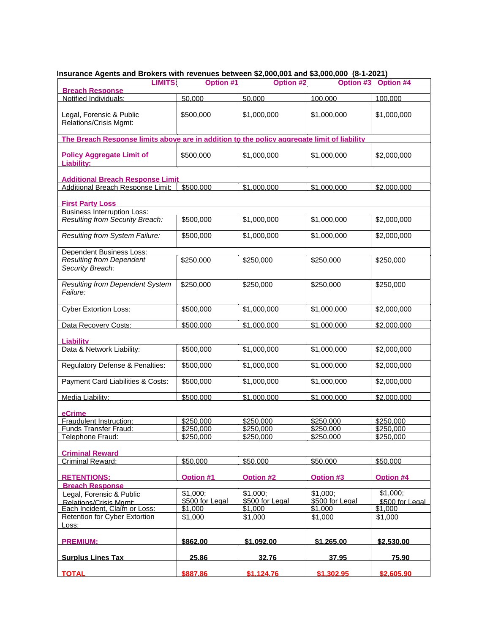| <b>LIMITS:</b>                                                                              | Option #1                  | $\frac{1}{2}$<br>Option #2 | Option #3                  | Option #4                  |
|---------------------------------------------------------------------------------------------|----------------------------|----------------------------|----------------------------|----------------------------|
| <b>Breach Response</b>                                                                      |                            |                            |                            |                            |
| Notified Individuals:                                                                       | 50.000                     | 50.000                     | 100.000                    | 100.000                    |
| Legal, Forensic & Public<br>Relations/Crisis Mgmt:                                          | \$500,000                  | \$1,000,000                | \$1,000,000                | \$1,000,000                |
| The Breach Response limits above are in addition to the policy aggregate limit of liability |                            |                            |                            |                            |
| <b>Policy Aggregate Limit of</b><br>Liability:                                              | \$500,000                  | \$1,000,000                | \$1,000,000                | \$2,000,000                |
| <b>Additional Breach Response Limit</b>                                                     |                            |                            |                            |                            |
| Additional Breach Response Limit:                                                           | \$500,000                  | \$1,000,000                | \$1,000,000                | \$2,000.000                |
| <b>First Party Loss</b>                                                                     |                            |                            |                            |                            |
| <b>Business Interruption Loss:</b>                                                          |                            |                            |                            |                            |
| Resulting from Security Breach:                                                             | \$500,000                  | \$1,000,000                | \$1,000,000                | \$2,000,000                |
| Resulting from System Failure:                                                              | \$500,000                  | \$1,000,000                | \$1,000,000                | \$2,000,000                |
| <b>Dependent Business Loss:</b>                                                             |                            |                            |                            |                            |
| <b>Resulting from Dependent</b><br>Security Breach:                                         | \$250,000                  | \$250,000                  | \$250,000                  | \$250,000                  |
| <b>Resulting from Dependent System</b><br>Failure:                                          | \$250,000                  | \$250,000                  | \$250,000                  | \$250,000                  |
| <b>Cyber Extortion Loss:</b>                                                                | \$500,000                  | \$1,000,000                | \$1,000,000                | \$2,000,000                |
| Data Recovery Costs:                                                                        | \$500,000                  | \$1,000,000                | \$1,000,000                | \$2,000,000                |
| <b>Liability</b>                                                                            |                            |                            |                            |                            |
| Data & Network Liability:                                                                   | \$500,000                  | \$1,000,000                | \$1,000,000                | \$2,000,000                |
| Regulatory Defense & Penalties:                                                             | \$500,000                  | \$1,000,000                | \$1,000,000                | \$2,000,000                |
| Payment Card Liabilities & Costs:                                                           | \$500,000                  | \$1,000,000                | \$1,000,000                | \$2,000,000                |
| Media Liability:                                                                            | \$500,000                  | \$1.000.000                | \$1,000.000                | \$2,000,000                |
| eCrime                                                                                      |                            |                            |                            |                            |
| Fraudulent Instruction:                                                                     | \$250,000                  | \$250,000                  | \$250,000                  | \$250,000                  |
| Funds Transfer Fraud:                                                                       | \$250,000                  | \$250,000                  | \$250,000                  | \$250,000                  |
| Telephone Fraud:                                                                            | \$250.000                  | \$250,000                  | \$250.000                  | \$250,000                  |
|                                                                                             |                            |                            |                            |                            |
| <b>Criminal Reward</b>                                                                      |                            |                            |                            |                            |
| Criminal Reward:                                                                            | \$50,000                   | \$50,000                   | \$50,000                   | \$50,000                   |
| <b>RETENTIONS:</b>                                                                          | <b>Option #1</b>           | <b>Option #2</b>           | <b>Option #3</b>           | Option #4                  |
| <b>Breach Response</b>                                                                      |                            |                            |                            |                            |
| Legal, Forensic & Public                                                                    | \$1,000;                   | \$1,000;                   | \$1,000;                   | \$1,000;                   |
| Relations/Crisis Momt:<br>Each Incident, Claim or Loss:                                     | \$500 for Legal<br>\$1,000 | \$500 for Legal<br>\$1,000 | \$500 for Legal<br>\$1,000 | \$500 for Legal<br>\$1,000 |
| <b>Retention for Cyber Extortion</b>                                                        | \$1,000                    | \$1,000                    | \$1,000                    | \$1,000                    |
| Loss:                                                                                       |                            |                            |                            |                            |
| <b>PREMIUM:</b>                                                                             | \$862.00                   | \$1,092.00                 | \$1,265.00                 | \$2,530.00                 |
| <b>Surplus Lines Tax</b>                                                                    | 25.86                      | 32.76                      | 37.95                      | 75.90                      |
| <b>TOTAL</b>                                                                                | \$887.86                   | \$1.124.76                 | \$1.302.95                 | \$2,605.90                 |

# **Insurance Agents and Brokers with revenues between \$2,000,001 and \$3,000,000 (8-1-2021)**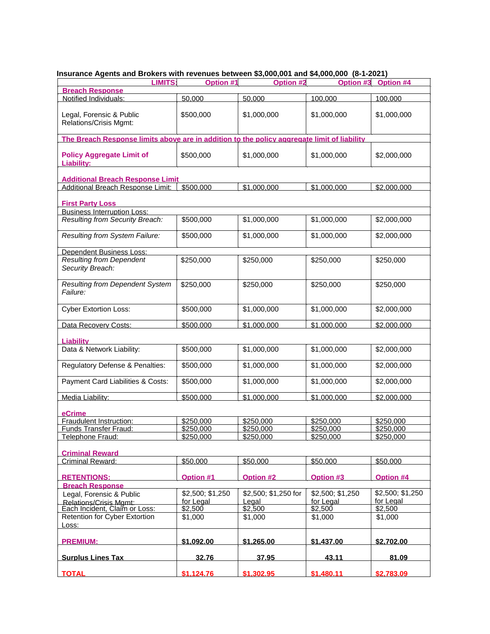| <b>LIMITS:</b>                                                                              | Option #1            | $\frac{1}{2}$<br>Option #2 | Option #3            | Option #4                     |
|---------------------------------------------------------------------------------------------|----------------------|----------------------------|----------------------|-------------------------------|
| <b>Breach Response</b><br>Notified Individuals:                                             | 50.000               | 50.000                     | 100.000              | 100.000                       |
|                                                                                             |                      |                            |                      |                               |
| Legal, Forensic & Public<br>Relations/Crisis Mgmt:                                          | \$500,000            | \$1,000,000                | \$1,000,000          | \$1,000,000                   |
| The Breach Response limits above are in addition to the policy aggregate limit of liability |                      |                            |                      |                               |
| <b>Policy Aggregate Limit of</b><br>Liability:                                              | \$500,000            | \$1,000,000                | \$1,000,000          | \$2,000,000                   |
| <b>Additional Breach Response Limit</b>                                                     |                      |                            |                      |                               |
| Additional Breach Response Limit:                                                           | \$500,000            | \$1,000,000                | \$1,000,000          | \$2,000.000                   |
| <b>First Party Loss</b>                                                                     |                      |                            |                      |                               |
| <b>Business Interruption Loss:</b>                                                          |                      |                            |                      |                               |
| Resulting from Security Breach:                                                             | \$500,000            | \$1,000,000                | \$1,000,000          | \$2,000,000                   |
| Resulting from System Failure:                                                              | \$500,000            | \$1,000,000                | \$1,000,000          | \$2,000,000                   |
| <b>Dependent Business Loss:</b>                                                             |                      |                            |                      |                               |
| <b>Resulting from Dependent</b><br>Security Breach:                                         | \$250,000            | \$250,000                  | \$250,000            | \$250,000                     |
| <b>Resulting from Dependent System</b><br>Failure:                                          | \$250,000            | \$250,000                  | \$250,000            | \$250,000                     |
| <b>Cyber Extortion Loss:</b>                                                                | \$500,000            | \$1,000,000                | \$1,000,000          | \$2,000,000                   |
| Data Recovery Costs:                                                                        | \$500,000            | \$1,000,000                | \$1,000,000          | \$2,000,000                   |
| <b>Liability</b>                                                                            |                      |                            |                      |                               |
| Data & Network Liability:                                                                   | \$500,000            | \$1,000,000                | \$1,000,000          | \$2,000,000                   |
| Regulatory Defense & Penalties:                                                             | \$500,000            | \$1,000,000                | \$1,000,000          | \$2,000,000                   |
| Payment Card Liabilities & Costs:                                                           | \$500,000            | \$1,000,000                | \$1,000,000          | \$2,000,000                   |
| Media Liability:                                                                            | \$500,000            | \$1.000.000                | \$1,000.000          | \$2,000,000                   |
| eCrime                                                                                      |                      |                            |                      |                               |
| Fraudulent Instruction:                                                                     | \$250,000            | \$250,000                  | \$250,000            | \$250,000                     |
| Funds Transfer Fraud:                                                                       | \$250,000            | \$250,000                  | \$250,000            | \$250,000                     |
| Telephone Fraud:                                                                            | \$250.000            | \$250,000                  | \$250.000            | \$250,000                     |
|                                                                                             |                      |                            |                      |                               |
| <b>Criminal Reward</b><br>Criminal Reward:                                                  | \$50,000             | \$50,000                   | \$50,000             | \$50,000                      |
|                                                                                             |                      |                            |                      |                               |
| <b>RETENTIONS:</b>                                                                          | Option #1            | <b>Option #2</b>           | <b>Option #3</b>     | Option #4                     |
| <b>Breach Response</b>                                                                      |                      |                            |                      |                               |
| Legal, Forensic & Public                                                                    | \$2,500; \$1,250     | \$2,500; \$1,250 for       | \$2,500; \$1,250     | \$2,500; \$1,250<br>for Legal |
| Relations/Crisis Momt:<br>Each Incident, Claim or Loss:                                     | for Legal<br>\$2,500 | Legal<br>\$2,500           | for Legal<br>\$2,500 | \$2,500                       |
| Retention for Cyber Extortion<br>Loss:                                                      | \$1,000              | \$1,000                    | \$1,000              | \$1,000                       |
|                                                                                             |                      |                            |                      |                               |
| <b>PREMIUM:</b>                                                                             | \$1,092.00           | \$1,265.00                 | \$1,437,00           | \$2,702.00                    |
| <b>Surplus Lines Tax</b>                                                                    | 32.76                | 37.95                      | 43.11                | 81.09                         |
| <b>TOTAL</b>                                                                                | \$1.124.76           | \$1.302.95                 | \$1,480.11           | \$2,783.09                    |

# **Insurance Agents and Brokers with revenues between \$3,000,001 and \$4,000,000 (8-1-2021)**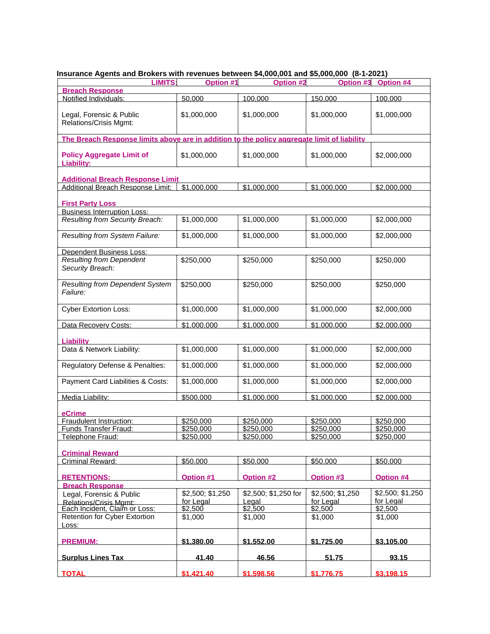| LIMITS:                                                                                     | Option #1            | $1000$ mini 101011400 both 0011 $\psi$ 1,000,001 and $\psi$ 0,000,000 (0 1 2021)<br>Option #2 | Option #3            | Option #4            |
|---------------------------------------------------------------------------------------------|----------------------|-----------------------------------------------------------------------------------------------|----------------------|----------------------|
| <b>Breach Response</b>                                                                      |                      |                                                                                               |                      |                      |
| Notified Individuals:                                                                       | 50.000               | 100.000                                                                                       | 150.000              | 100.000              |
| Legal, Forensic & Public<br>Relations/Crisis Mgmt:                                          | \$1,000,000          | \$1,000,000                                                                                   | \$1,000,000          | \$1,000,000          |
| The Breach Response limits above are in addition to the policy aggregate limit of liability |                      |                                                                                               |                      |                      |
| <b>Policy Aggregate Limit of</b><br>Liability:                                              | \$1,000,000          | \$1,000,000                                                                                   | \$1,000,000          | \$2,000,000          |
| <b>Additional Breach Response Limit</b>                                                     |                      |                                                                                               |                      |                      |
| Additional Breach Response Limit:                                                           | \$1,000,000          | \$1,000,000                                                                                   | \$1,000,000          | \$2,000,000          |
| <b>First Party Loss</b>                                                                     |                      |                                                                                               |                      |                      |
| <b>Business Interruption Loss:</b>                                                          |                      |                                                                                               |                      |                      |
| Resulting from Security Breach:                                                             | \$1,000,000          | \$1,000,000                                                                                   | \$1,000,000          | \$2,000,000          |
| Resulting from System Failure:                                                              | \$1,000,000          | \$1,000,000                                                                                   | \$1,000,000          | \$2,000,000          |
| <b>Dependent Business Loss:</b>                                                             |                      |                                                                                               |                      |                      |
| <b>Resulting from Dependent</b><br>Security Breach:                                         | \$250,000            | \$250,000                                                                                     | \$250,000            | \$250,000            |
| <b>Resulting from Dependent System</b><br>Failure:                                          | \$250,000            | \$250,000                                                                                     | \$250,000            | \$250,000            |
| <b>Cyber Extortion Loss:</b>                                                                | \$1,000,000          | \$1,000,000                                                                                   | \$1,000,000          | \$2,000,000          |
| Data Recovery Costs:                                                                        | \$1,000,000          | \$1,000,000                                                                                   | \$1,000,000          | \$2,000,000          |
| <b>Liability</b>                                                                            |                      |                                                                                               |                      |                      |
| Data & Network Liability:                                                                   | \$1,000,000          | \$1,000,000                                                                                   | \$1,000,000          | \$2,000,000          |
| Regulatory Defense & Penalties:                                                             | \$1,000,000          | \$1,000,000                                                                                   | \$1,000,000          | \$2,000,000          |
| Payment Card Liabilities & Costs:                                                           | \$1,000,000          | \$1,000,000                                                                                   | \$1,000,000          | \$2,000,000          |
| Media Liability:                                                                            | \$500.000            | \$1.000.000                                                                                   | \$1,000.000          | \$2,000,000          |
| eCrime                                                                                      |                      |                                                                                               |                      |                      |
| Fraudulent Instruction:                                                                     | \$250,000            | \$250,000                                                                                     | \$250,000            | \$250,000            |
| Funds Transfer Fraud:                                                                       | \$250,000            | \$250,000                                                                                     | \$250,000            | \$250,000            |
| Telephone Fraud:                                                                            | \$250.000            | \$250,000                                                                                     | \$250.000            | \$250,000            |
|                                                                                             |                      |                                                                                               |                      |                      |
| <b>Criminal Reward</b><br>Criminal Reward:                                                  | \$50,000             | \$50,000                                                                                      | \$50,000             | \$50,000             |
|                                                                                             |                      |                                                                                               |                      |                      |
| <b>RETENTIONS:</b>                                                                          | Option #1            | <b>Option #2</b>                                                                              | <b>Option #3</b>     | Option #4            |
| <b>Breach Response</b>                                                                      |                      |                                                                                               |                      |                      |
| Legal, Forensic & Public                                                                    | \$2,500; \$1,250     | \$2,500; \$1,250 for                                                                          | \$2,500; \$1,250     | \$2,500; \$1,250     |
| Relations/Crisis Momt:<br>Each Incident, Claim or Loss:                                     | for Legal<br>\$2,500 | Legal<br>\$2,500                                                                              | for Legal<br>\$2,500 | for Legal<br>\$2,500 |
| Retention for Cyber Extortion                                                               | \$1,000              | \$1,000                                                                                       | \$1,000              | \$1,000              |
| Loss:                                                                                       |                      |                                                                                               |                      |                      |
| <b>PREMIUM:</b>                                                                             | \$1,380.00           | \$1,552.00                                                                                    | \$1,725.00           | \$3,105.00           |
| <b>Surplus Lines Tax</b>                                                                    | 41.40                | 46.56                                                                                         | 51.75                | 93.15                |
| <b>TOTAL</b>                                                                                | \$1.421.40           | \$1.598.56                                                                                    | \$1,776,75           | \$3.198.15           |

## **Insurance Agents and Brokers with revenues between \$4,000,001 and \$5,000,000 (8-1-2021)**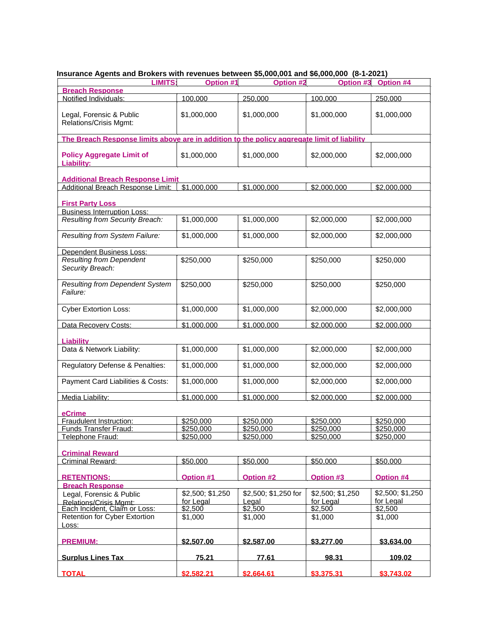| $1000$ and $1000$ and $1000$ and $1000$ and $1000$ and $1000$ and $1000$ and $1000$ and $1000$ and $1000$<br><b>LIMITS:</b> | Option #1            | Option #2            | Option #3            | Option #4            |
|-----------------------------------------------------------------------------------------------------------------------------|----------------------|----------------------|----------------------|----------------------|
| <b>Breach Response</b><br>Notified Individuals:                                                                             |                      |                      |                      |                      |
|                                                                                                                             | 100.000              | 250.000              | 100.000              | 250.000              |
| Legal, Forensic & Public<br>Relations/Crisis Mgmt:                                                                          | \$1,000,000          | \$1,000,000          | \$1,000,000          | \$1,000,000          |
| The Breach Response limits above are in addition to the policy aggregate limit of liability                                 |                      |                      |                      |                      |
| <b>Policy Aggregate Limit of</b><br>Liability:                                                                              | \$1,000,000          | \$1,000,000          | \$2,000,000          | \$2,000,000          |
| <b>Additional Breach Response Limit</b>                                                                                     |                      |                      |                      |                      |
| Additional Breach Response Limit:                                                                                           | \$1,000,000          | \$1,000,000          | \$2,000.000          | \$2,000.000          |
| <b>First Party Loss</b>                                                                                                     |                      |                      |                      |                      |
| <b>Business Interruption Loss:</b>                                                                                          |                      |                      |                      |                      |
| Resulting from Security Breach:                                                                                             | \$1,000,000          | \$1,000,000          | \$2,000,000          | \$2,000,000          |
| Resulting from System Failure:                                                                                              | \$1,000,000          | \$1,000,000          | \$2,000,000          | \$2,000,000          |
| <b>Dependent Business Loss:</b>                                                                                             |                      |                      |                      |                      |
| <b>Resulting from Dependent</b><br>Security Breach:                                                                         | \$250,000            | \$250,000            | \$250,000            | \$250,000            |
| <b>Resulting from Dependent System</b><br>Failure:                                                                          | \$250,000            | \$250,000            | \$250,000            | \$250,000            |
| <b>Cyber Extortion Loss:</b>                                                                                                | \$1,000,000          | \$1,000,000          | \$2,000,000          | \$2,000,000          |
| Data Recovery Costs:                                                                                                        | \$1,000,000          | \$1,000,000          | \$2,000,000          | \$2,000,000          |
| <b>Liability</b>                                                                                                            |                      |                      |                      |                      |
| Data & Network Liability:                                                                                                   | \$1,000,000          | \$1,000,000          | \$2,000,000          | \$2,000,000          |
| Regulatory Defense & Penalties:                                                                                             | \$1,000,000          | \$1,000,000          | \$2,000,000          | \$2,000,000          |
| Payment Card Liabilities & Costs:                                                                                           | \$1,000,000          | \$1,000,000          | \$2,000,000          | \$2,000,000          |
| Media Liability:                                                                                                            | \$1.000.000          | \$1.000.000          | \$2,000.000          | \$2,000,000          |
| eCrime                                                                                                                      |                      |                      |                      |                      |
| Fraudulent Instruction:                                                                                                     | \$250,000            | \$250,000            | \$250,000            | \$250,000            |
| Funds Transfer Fraud:                                                                                                       | \$250,000            | \$250,000            | \$250,000            | \$250,000            |
| Telephone Fraud:                                                                                                            | \$250.000            | \$250,000            | \$250.000            | \$250,000            |
|                                                                                                                             |                      |                      |                      |                      |
| <b>Criminal Reward</b><br>Criminal Reward:                                                                                  | \$50,000             | \$50,000             | \$50,000             | \$50,000             |
|                                                                                                                             |                      |                      |                      |                      |
| <b>RETENTIONS:</b>                                                                                                          | Option #1            | <b>Option #2</b>     | <b>Option #3</b>     | Option #4            |
| <b>Breach Response</b>                                                                                                      |                      |                      |                      |                      |
| Legal, Forensic & Public                                                                                                    | \$2,500; \$1,250     | \$2,500; \$1,250 for | \$2,500; \$1,250     | \$2,500; \$1,250     |
| Relations/Crisis Momt:<br>Each Incident, Claim or Loss:                                                                     | for Legal<br>\$2,500 | Legal<br>\$2,500     | for Legal<br>\$2,500 | for Legal<br>\$2,500 |
| Retention for Cyber Extortion                                                                                               | \$1,000              | \$1,000              | \$1,000              | \$1,000              |
| Loss:                                                                                                                       |                      |                      |                      |                      |
| <b>PREMIUM:</b>                                                                                                             | \$2,507.00           | \$2,587.00           | \$3,277.00           | \$3,634.00           |
| <b>Surplus Lines Tax</b>                                                                                                    | 75.21                | 77.61                | 98.31                | 109.02               |
| <b>TOTAL</b>                                                                                                                | \$2,582.21           | \$2.664.61           | \$3,375,31           | \$3.743.02           |

# **Insurance Agents and Brokers with revenues between \$5,000,001 and \$6,000,000 (8-1-2021)**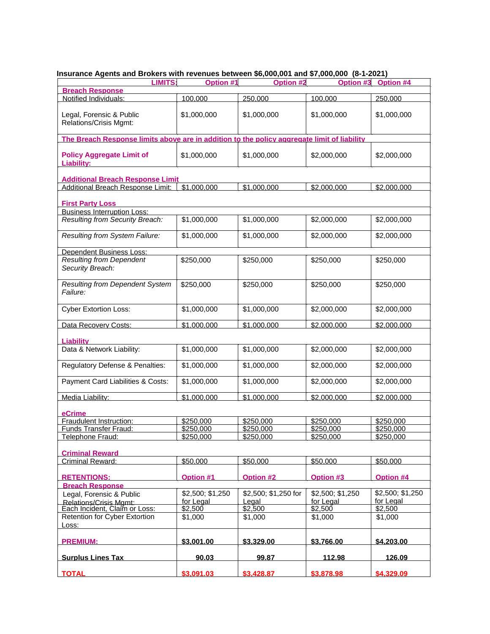| <b>LIMITS:</b>                                                                              | Option #1            | Option #2            | Option #3            | Option #4            |
|---------------------------------------------------------------------------------------------|----------------------|----------------------|----------------------|----------------------|
| <b>Breach Response</b><br>Notified Individuals:                                             |                      |                      |                      | 250.000              |
|                                                                                             | 100.000              | 250.000              | 100.000              |                      |
| Legal, Forensic & Public<br>Relations/Crisis Mgmt:                                          | \$1,000,000          | \$1,000,000          | \$1,000,000          | \$1,000,000          |
| The Breach Response limits above are in addition to the policy aggregate limit of liability |                      |                      |                      |                      |
| <b>Policy Aggregate Limit of</b><br>Liability:                                              | \$1,000,000          | \$1,000,000          | \$2,000,000          | \$2,000,000          |
| <b>Additional Breach Response Limit</b>                                                     |                      |                      |                      |                      |
| Additional Breach Response Limit:                                                           | \$1,000,000          | \$1,000,000          | \$2,000.000          | \$2,000.000          |
| <b>First Party Loss</b>                                                                     |                      |                      |                      |                      |
| <b>Business Interruption Loss:</b>                                                          |                      |                      |                      |                      |
| Resulting from Security Breach:                                                             | \$1,000,000          | \$1,000,000          | \$2,000,000          | \$2,000,000          |
| Resulting from System Failure:                                                              | \$1,000,000          | \$1,000,000          | \$2,000,000          | \$2,000,000          |
| <b>Dependent Business Loss:</b>                                                             |                      |                      |                      |                      |
| <b>Resulting from Dependent</b><br>Security Breach:                                         | \$250,000            | \$250,000            | \$250,000            | \$250,000            |
| <b>Resulting from Dependent System</b><br>Failure:                                          | \$250,000            | \$250,000            | \$250,000            | \$250,000            |
| <b>Cyber Extortion Loss:</b>                                                                | \$1,000,000          | \$1,000,000          | \$2,000,000          | \$2,000,000          |
| Data Recovery Costs:                                                                        | \$1,000,000          | \$1,000,000          | \$2,000,000          | \$2,000,000          |
| <b>Liability</b>                                                                            |                      |                      |                      |                      |
| Data & Network Liability:                                                                   | \$1,000,000          | \$1,000,000          | \$2,000,000          | \$2,000,000          |
| Regulatory Defense & Penalties:                                                             | \$1,000,000          | \$1,000,000          | \$2,000,000          | \$2,000,000          |
| Payment Card Liabilities & Costs:                                                           | \$1,000,000          | \$1,000,000          | \$2,000,000          | \$2,000,000          |
| Media Liability:                                                                            | \$1.000.000          | \$1.000.000          | \$2,000.000          | \$2,000,000          |
| eCrime                                                                                      |                      |                      |                      |                      |
| Fraudulent Instruction:                                                                     | \$250,000            | \$250,000            | \$250,000            | \$250,000            |
| Funds Transfer Fraud:                                                                       | \$250,000            | \$250,000            | \$250,000            | \$250,000            |
| Telephone Fraud:                                                                            | \$250.000            | \$250,000            | \$250.000            | \$250,000            |
|                                                                                             |                      |                      |                      |                      |
| <b>Criminal Reward</b><br>Criminal Reward:                                                  | \$50,000             | \$50,000             | \$50,000             | \$50,000             |
|                                                                                             |                      |                      |                      |                      |
| <b>RETENTIONS:</b>                                                                          | Option #1            | <b>Option #2</b>     | <b>Option #3</b>     | Option #4            |
| <b>Breach Response</b>                                                                      |                      |                      |                      |                      |
| Legal, Forensic & Public                                                                    | \$2,500; \$1,250     | \$2,500; \$1,250 for | \$2,500; \$1,250     | \$2,500; \$1,250     |
| Relations/Crisis Momt:<br>Each Incident, Claim or Loss:                                     | for Legal<br>\$2,500 | Legal<br>\$2,500     | for Legal<br>\$2,500 | for Legal<br>\$2,500 |
| Retention for Cyber Extortion                                                               | \$1,000              | \$1,000              | \$1,000              | \$1,000              |
| Loss:                                                                                       |                      |                      |                      |                      |
| <b>PREMIUM:</b>                                                                             | \$3,001.00           | \$3,329.00           | \$3,766.00           | \$4,203,00           |
| <b>Surplus Lines Tax</b>                                                                    | 90.03                | 99.87                | 112.98               | 126.09               |
| <b>TOTAL</b>                                                                                | \$3.091.03           | \$3.428.87           | \$3,878.98           | \$4,329.09           |

## **Insurance Agents and Brokers with revenues between \$6,000,001 and \$7,000,000 (8-1-2021)**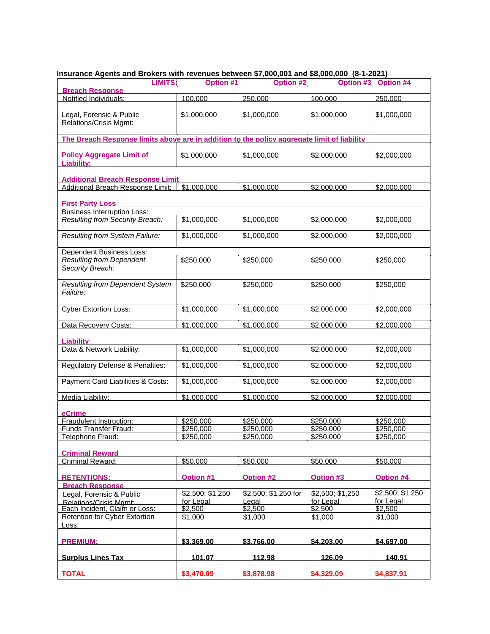| <b>LIMITS:</b>                                                                              | Option #1        | ,,<br>Option #2               | $10.1$ and $40,000,000$ (c) $-20$ | Option #3 Option #4 |
|---------------------------------------------------------------------------------------------|------------------|-------------------------------|-----------------------------------|---------------------|
| <b>Breach Response</b>                                                                      |                  |                               |                                   |                     |
| Notified Individuals:                                                                       | 100.000          | 250,000                       | 100.000                           | 250.000             |
| Legal, Forensic & Public<br>Relations/Crisis Mgmt:                                          | \$1,000,000      | \$1,000,000                   | \$1,000,000                       | \$1,000,000         |
| The Breach Response limits above are in addition to the policy aggregate limit of liability |                  |                               |                                   |                     |
| <b>Policy Aggregate Limit of</b><br>Liability:                                              | \$1,000,000      | \$1,000,000                   | \$2,000,000                       | \$2,000,000         |
| <b>Additional Breach Response Limit</b>                                                     |                  |                               |                                   |                     |
| Additional Breach Response Limit:                                                           | \$1,000,000      | \$1,000,000                   | \$2,000.000                       | \$2,000.000         |
| <b>First Party Loss</b>                                                                     |                  |                               |                                   |                     |
| <b>Business Interruption Loss:</b>                                                          |                  |                               |                                   |                     |
| Resulting from Security Breach:                                                             | \$1,000,000      | \$1,000,000                   | \$2,000,000                       | \$2,000,000         |
| Resulting from System Failure:                                                              | \$1,000,000      | \$1,000,000                   | \$2,000,000                       | \$2,000,000         |
| Dependent Business Loss:                                                                    |                  |                               |                                   |                     |
| <b>Resulting from Dependent</b><br>Security Breach:                                         | \$250,000        | \$250,000                     | \$250,000                         | \$250,000           |
| <b>Resulting from Dependent System</b><br>Failure:                                          | \$250,000        | \$250,000                     | \$250,000                         | \$250,000           |
| <b>Cyber Extortion Loss:</b>                                                                | \$1,000,000      | \$1,000,000                   | \$2,000,000                       | \$2,000,000         |
| Data Recovery Costs:                                                                        | \$1,000,000      | \$1,000,000                   | \$2,000,000                       | \$2,000,000         |
| <b>Liability</b>                                                                            |                  |                               |                                   |                     |
| Data & Network Liability:                                                                   | \$1,000,000      | \$1,000,000                   | \$2,000,000                       | \$2,000,000         |
| Regulatory Defense & Penalties:                                                             | \$1,000,000      | \$1,000,000                   | \$2,000,000                       | \$2,000,000         |
| Payment Card Liabilities & Costs:                                                           | \$1,000,000      | \$1,000,000                   | \$2,000,000                       | \$2,000,000         |
| Media Liability:                                                                            | \$1,000,000      | \$1.000.000                   | \$2,000.000                       | \$2,000.000         |
| eCrime                                                                                      |                  |                               |                                   |                     |
| Fraudulent Instruction:                                                                     | \$250,000        | \$250,000                     | \$250,000                         | \$250,000           |
| <b>Funds Transfer Fraud:</b>                                                                | \$250,000        | \$250,000                     | \$250,000                         | \$250,000           |
| Telephone Fraud:                                                                            | \$250.000        | \$250,000                     | \$250,000                         | \$250,000           |
|                                                                                             |                  |                               |                                   |                     |
| <b>Criminal Reward</b>                                                                      |                  |                               |                                   |                     |
| Criminal Reward:                                                                            | \$50,000         | \$50,000                      | \$50,000                          | \$50,000            |
| <b>RETENTIONS:</b>                                                                          | <b>Option #1</b> | Option #2                     | <b>Option #3</b>                  | Option #4           |
| <b>Breach Response</b>                                                                      | \$2,500; \$1,250 |                               |                                   | \$2,500; \$1,250    |
| Legal, Forensic & Public<br>Relations/Crisis Mgmt:                                          | for Legal        | \$2,500; \$1,250 for<br>Legal | \$2,500; \$1,250<br>for Legal     | for Legal           |
| Each Incident, Claim or Loss:                                                               | \$2,500          | \$2,500                       | \$2,500                           | \$2,500             |
| Retention for Cyber Extortion                                                               | \$1,000          | \$1.000                       | \$1,000                           | \$1,000             |
| Loss:                                                                                       |                  |                               |                                   |                     |
| <b>PREMIUM:</b>                                                                             | \$3,369.00       | \$3,766.00                    | \$4,203.00                        | \$4,697.00          |
| <b>Surplus Lines Tax</b>                                                                    | 101.07           | 112.98                        | 126.09                            | 140.91              |
| <b>TOTAL</b>                                                                                | \$3,470.09       | \$3,878.98                    | \$4,329.09                        | \$4,837.91          |

#### **Insurance Agents and Brokers with revenues between \$7,000,001 and \$8,000,000 (8-1-2021)**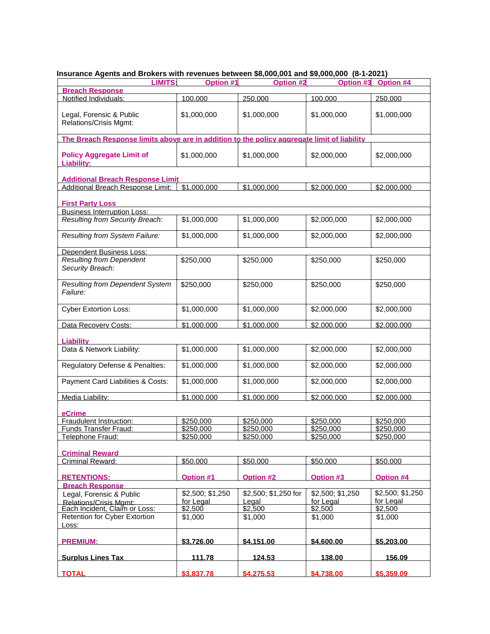| $1000$ and $1000$ and $1000$ and $1000$ and $1000$ and $1000$ and $1000$ and $1000$ and $1000$ and $1000$<br><b>LIMITS:</b> | Option #1            | Option #2            | Option #3            | Option #4            |
|-----------------------------------------------------------------------------------------------------------------------------|----------------------|----------------------|----------------------|----------------------|
| <b>Breach Response</b><br>Notified Individuals:                                                                             | 100.000              | 250.000              | 100.000              | 250.000              |
|                                                                                                                             |                      |                      |                      |                      |
| Legal, Forensic & Public<br>Relations/Crisis Mgmt:                                                                          | \$1,000,000          | \$1,000,000          | \$1,000,000          | \$1,000,000          |
| The Breach Response limits above are in addition to the policy aggregate limit of liability                                 |                      |                      |                      |                      |
| <b>Policy Aggregate Limit of</b><br>Liability:                                                                              | \$1,000,000          | \$1,000,000          | \$2,000,000          | \$2,000,000          |
| <b>Additional Breach Response Limit</b>                                                                                     |                      |                      |                      |                      |
| Additional Breach Response Limit:                                                                                           | \$1,000,000          | \$1,000,000          | \$2,000.000          | \$2,000.000          |
| <b>First Party Loss</b>                                                                                                     |                      |                      |                      |                      |
| <b>Business Interruption Loss:</b>                                                                                          |                      |                      |                      |                      |
| Resulting from Security Breach:                                                                                             | \$1,000,000          | \$1,000,000          | \$2,000,000          | \$2,000,000          |
| Resulting from System Failure:                                                                                              | \$1,000,000          | \$1,000,000          | \$2,000,000          | \$2,000,000          |
| <b>Dependent Business Loss:</b>                                                                                             |                      |                      |                      |                      |
| <b>Resulting from Dependent</b><br>Security Breach:                                                                         | \$250,000            | \$250,000            | \$250,000            | \$250,000            |
| <b>Resulting from Dependent System</b><br>Failure:                                                                          | \$250,000            | \$250,000            | \$250,000            | \$250,000            |
| <b>Cyber Extortion Loss:</b>                                                                                                | \$1,000,000          | \$1,000,000          | \$2,000,000          | \$2,000,000          |
| Data Recovery Costs:                                                                                                        | \$1,000,000          | \$1,000,000          | \$2,000,000          | \$2,000,000          |
| <b>Liability</b>                                                                                                            |                      |                      |                      |                      |
| Data & Network Liability:                                                                                                   | \$1,000,000          | \$1,000,000          | \$2,000,000          | \$2,000,000          |
| Regulatory Defense & Penalties:                                                                                             | \$1,000,000          | \$1,000,000          | \$2,000,000          | \$2,000,000          |
| Payment Card Liabilities & Costs:                                                                                           | \$1,000,000          | \$1,000,000          | \$2,000,000          | \$2,000,000          |
| Media Liability:                                                                                                            | \$1.000.000          | \$1.000.000          | \$2,000.000          | \$2,000,000          |
| eCrime                                                                                                                      |                      |                      |                      |                      |
| Fraudulent Instruction:                                                                                                     | \$250,000            | \$250,000            | \$250,000            | \$250,000            |
| Funds Transfer Fraud:                                                                                                       | \$250,000            | \$250,000            | \$250,000            | \$250,000            |
| Telephone Fraud:                                                                                                            | \$250.000            | \$250,000            | \$250.000            | \$250,000            |
|                                                                                                                             |                      |                      |                      |                      |
| <b>Criminal Reward</b>                                                                                                      |                      |                      |                      |                      |
| Criminal Reward:                                                                                                            | \$50,000             | \$50,000             | \$50,000             | \$50,000             |
| <b>RETENTIONS:</b>                                                                                                          | Option #1            | <b>Option #2</b>     | <b>Option #3</b>     | Option #4            |
| <b>Breach Response</b>                                                                                                      |                      |                      |                      |                      |
| Legal, Forensic & Public                                                                                                    | \$2,500; \$1,250     | \$2,500; \$1,250 for | \$2,500; \$1,250     | \$2,500; \$1,250     |
| Relations/Crisis Momt:<br>Each Incident, Claim or Loss:                                                                     | for Legal<br>\$2,500 | Legal<br>\$2,500     | for Legal<br>\$2,500 | for Legal<br>\$2,500 |
| Retention for Cyber Extortion                                                                                               | \$1,000              | \$1,000              | \$1,000              | \$1,000              |
| Loss:                                                                                                                       |                      |                      |                      |                      |
| <b>PREMIUM:</b>                                                                                                             | \$3,726.00           | \$4,151.00           | \$4,600,00           | \$5,203.00           |
| <b>Surplus Lines Tax</b>                                                                                                    | 111.78               | 124.53               | 138.00               | 156.09               |
| <b>TOTAL</b>                                                                                                                | \$3.837.78           | \$4.275.53           | \$4.738.00           | \$5,359.09           |

## **Insurance Agents and Brokers with revenues between \$8,000,001 and \$9,000,000 (8-1-2021)**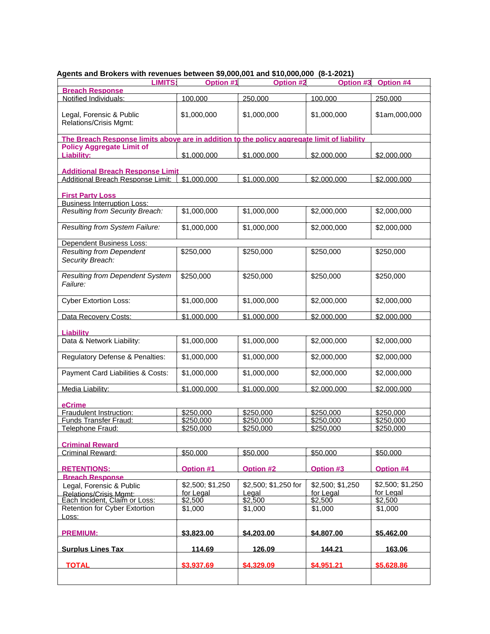| $95 \times 10^{-12}$ and $90 \times 10^{-12}$ and $100 \times 10^{-12}$ and $20 \times 10^{-12}$ and $20 \times 10^{-12}$ and $20 \times 10^{-12}$ |                  |                      |                  |                  |
|----------------------------------------------------------------------------------------------------------------------------------------------------|------------------|----------------------|------------------|------------------|
| <b>LIMITS:</b>                                                                                                                                     | Option #1        | Option #2            | Option #3        | Option #4        |
| <b>Breach Response</b>                                                                                                                             |                  |                      |                  |                  |
| Notified Individuals:                                                                                                                              | 100.000          | 250.000              | 100.000          | 250.000          |
|                                                                                                                                                    |                  |                      |                  |                  |
| Legal, Forensic & Public                                                                                                                           | \$1,000,000      | \$1,000,000          | \$1,000,000      | \$1am,000,000    |
| <b>Relations/Crisis Mgmt:</b>                                                                                                                      |                  |                      |                  |                  |
|                                                                                                                                                    |                  |                      |                  |                  |
| The Breach Response limits above are in addition to the policy aggregate limit of liability                                                        |                  |                      |                  |                  |
| <b>Policy Aggregate Limit of</b>                                                                                                                   |                  |                      |                  |                  |
| Liability:                                                                                                                                         | \$1,000,000      | \$1,000,000          | \$2,000.000      | \$2,000.000      |
|                                                                                                                                                    |                  |                      |                  |                  |
| <b>Additional Breach Response Limit</b><br>Additional Breach Response Limit:                                                                       | \$1,000,000      | \$1,000,000          | \$2,000.000      |                  |
|                                                                                                                                                    |                  |                      |                  | \$2,000.000      |
| <b>First Party Loss</b>                                                                                                                            |                  |                      |                  |                  |
| <b>Business Interruption Loss:</b>                                                                                                                 |                  |                      |                  |                  |
| Resulting from Security Breach:                                                                                                                    | \$1,000,000      | \$1,000,000          | \$2,000,000      | \$2,000,000      |
|                                                                                                                                                    |                  |                      |                  |                  |
| Resulting from System Failure:                                                                                                                     | \$1,000,000      | \$1,000,000          | \$2,000,000      | \$2,000,000      |
|                                                                                                                                                    |                  |                      |                  |                  |
| Dependent Business Loss:                                                                                                                           |                  |                      |                  |                  |
| <b>Resulting from Dependent</b>                                                                                                                    | \$250,000        | \$250,000            | \$250,000        | \$250,000        |
| Security Breach:                                                                                                                                   |                  |                      |                  |                  |
|                                                                                                                                                    |                  |                      |                  |                  |
| <b>Resulting from Dependent System</b>                                                                                                             | \$250,000        | \$250,000            | \$250,000        | \$250,000        |
| Failure:                                                                                                                                           |                  |                      |                  |                  |
|                                                                                                                                                    |                  |                      |                  |                  |
| <b>Cyber Extortion Loss:</b>                                                                                                                       | \$1,000,000      | \$1,000,000          | \$2,000,000      | \$2,000,000      |
|                                                                                                                                                    |                  |                      |                  |                  |
| Data Recovery Costs:                                                                                                                               | \$1.000.000      | \$1,000.000          | \$2,000.000      | \$2,000,000      |
|                                                                                                                                                    |                  |                      |                  |                  |
| <b>Liability</b>                                                                                                                                   |                  |                      |                  |                  |
| Data & Network Liability:                                                                                                                          | \$1,000,000      | \$1,000,000          | \$2,000,000      | \$2,000,000      |
|                                                                                                                                                    |                  |                      |                  |                  |
| Regulatory Defense & Penalties:                                                                                                                    | \$1,000,000      | \$1,000,000          | \$2,000,000      | \$2,000,000      |
|                                                                                                                                                    |                  |                      |                  |                  |
| Payment Card Liabilities & Costs:                                                                                                                  | \$1,000,000      | \$1,000,000          | \$2,000,000      | \$2,000,000      |
|                                                                                                                                                    |                  |                      |                  |                  |
| Media Liability:                                                                                                                                   | \$1,000,000      | \$1,000,000          | \$2,000.000      | \$2,000.000      |
|                                                                                                                                                    |                  |                      |                  |                  |
| eCrime                                                                                                                                             |                  |                      |                  |                  |
| Fraudulent Instruction:                                                                                                                            | \$250,000        | \$250,000            | \$250,000        | \$250,000        |
| Funds Transfer Fraud:                                                                                                                              | \$250,000        | \$250,000            | \$250,000        | \$250,000        |
| Telephone Fraud:                                                                                                                                   | \$250,000        | \$250,000            | \$250,000        | \$250,000        |
|                                                                                                                                                    |                  |                      |                  |                  |
| <b>Criminal Reward</b>                                                                                                                             |                  |                      |                  |                  |
| Criminal Reward:                                                                                                                                   | \$50,000         | \$50,000             | \$50,000         | \$50,000         |
|                                                                                                                                                    |                  |                      |                  |                  |
| <b>RETENTIONS:</b>                                                                                                                                 | <b>Option #1</b> | <b>Option #2</b>     | <b>Option #3</b> | Option #4        |
| <b>Breach Response</b>                                                                                                                             |                  |                      |                  |                  |
| Legal, Forensic & Public                                                                                                                           | \$2,500; \$1,250 | \$2,500; \$1,250 for | \$2,500; \$1,250 | \$2,500; \$1,250 |
| <b>Relations/Crisis Mgmt:</b>                                                                                                                      | for Legal        | Legal                | for Legal        | for Legal        |
| Each Incident, Claim or Loss:                                                                                                                      | \$2,500          | \$2,500              | \$2,500          | \$2,500          |
| Retention for Cyber Extortion                                                                                                                      | \$1,000          | \$1,000              | \$1,000          | \$1,000          |
| <u>Loss:</u>                                                                                                                                       |                  |                      |                  |                  |
|                                                                                                                                                    |                  |                      |                  |                  |
| <b>PREMIUM:</b>                                                                                                                                    | \$3.823.00       | \$4.203.00           | \$4,807.00       | \$5,462.00       |
|                                                                                                                                                    |                  |                      |                  |                  |
| <b>Surplus Lines Tax</b>                                                                                                                           | 114.69           | 126.09               | 144.21           | 163.06           |
| <b>TOTAL</b>                                                                                                                                       | \$3,937.69       | \$4,329.09           | \$4,951.21       | \$5,628.86       |
|                                                                                                                                                    |                  |                      |                  |                  |
|                                                                                                                                                    |                  |                      |                  |                  |

#### **Agents and Brokers with revenues between \$9,000,001 and \$10,000,000 (8-1-2021)**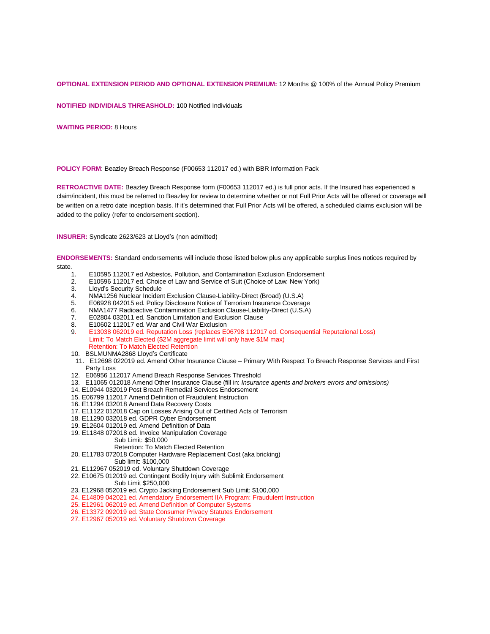#### **OPTIONAL EXTENSION PERIOD AND OPTIONAL EXTENSION PREMIUM:** 12 Months @ 100% of the Annual Policy Premium

**NOTIFIED INDIVIDIALS THREASHOLD:** 100 Notified Individuals

**WAITING PERIOD:** 8 Hours

**POLICY FORM**: Beazley Breach Response (F00653 112017 ed.) with BBR Information Pack

**RETROACTIVE DATE:** Beazley Breach Response form (F00653 112017 ed.) is full prior acts. If the Insured has experienced a claim/incident, this must be referred to Beazley for review to determine whether or not Full Prior Acts will be offered or coverage will be written on a retro date inception basis. If it's determined that Full Prior Acts will be offered, a scheduled claims exclusion will be added to the policy (refer to endorsement section).

**INSURER:** Syndicate 2623/623 at Lloyd's (non admitted)

**ENDORSEMENTS:** Standard endorsements will include those listed below plus any applicable surplus lines notices required by state.

- 1. E10595 112017 ed Asbestos, Pollution, and Contamination Exclusion Endorsement
- 2. E10596 112017 ed. Choice of Law and Service of Suit (Choice of Law: New York)
- 3. Lloyd's Security Schedule<br>4. NMA1256 Nuclear Inciden
- 4. NMA1256 Nuclear Incident Exclusion Clause-Liability-Direct (Broad) (U.S.A)
- 5. E06928 042015 ed. Policy Disclosure Notice of Terrorism Insurance Coverage<br>6. NMA1477 Radioactive Contamination Exclusion Clause-Liability-Direct (U.S.A)
- 6. NMA1477 Radioactive Contamination Exclusion Clause-Liability-Direct (U.S.A)
- E02804 032011 ed. Sanction Limitation and Exclusion Clause
- 8. E10602 112017 ed. War and Civil War Exclusion<br>9. E13038 062019 ed. Reputation Loss (replaces EQ
- 9. E13038 062019 ed. Reputation Loss (replaces E06798 112017 ed. Consequential Reputational Loss) Limit: To Match Elected (\$2M aggregate limit will only have \$1M max) Retention: To Match Elected Retention
- 10. BSLMUNMA2868 Lloyd's Certificate
- 11. E12698 022019 ed. Amend Other Insurance Clause Primary With Respect To Breach Response Services and First Party Loss
- 12. E06956 112017 Amend Breach Response Services Threshold
- 13. E11065 012018 Amend Other Insurance Clause (fill in: *Insurance agents and brokers errors and omissions)*
- 14. E10944 032019 Post Breach Remedial Services Endorsement
- 15. E06799 112017 Amend Definition of Fraudulent Instruction
- 16. E11294 032018 Amend Data Recovery Costs
- 17. E11122 012018 Cap on Losses Arising Out of Certified Acts of Terrorism
- 18. E11290 032018 ed. GDPR Cyber Endorsement
- 19. E12604 012019 ed. Amend Definition of Data
- 19. E11848 072018 ed. Invoice Manipulation Coverage
- Sub Limit: \$50,000
- Retention: To Match Elected Retention
- 20. E11783 072018 Computer Hardware Replacement Cost (aka bricking) Sub limit: \$100,000
- 21. E112967 052019 ed. Voluntary Shutdown Coverage
- 22. E10675 012019 ed. Contingent Bodily Injury with Sublimit Endorsement
- Sub Limit \$250,000
- 23. E12968 052019 ed. Crypto Jacking Endorsement Sub Limit: \$100,000
- 24. E14809 042021 ed. Amendatory Endorsement IIA Program: Fraudulent Instruction
- 25. E12961 062019 ed. Amend Definition of Computer Systems
- 26. E13372 092019 ed. State Consumer Privacy Statutes Endorsement
- 27. E12967 052019 ed. Voluntary Shutdown Coverage